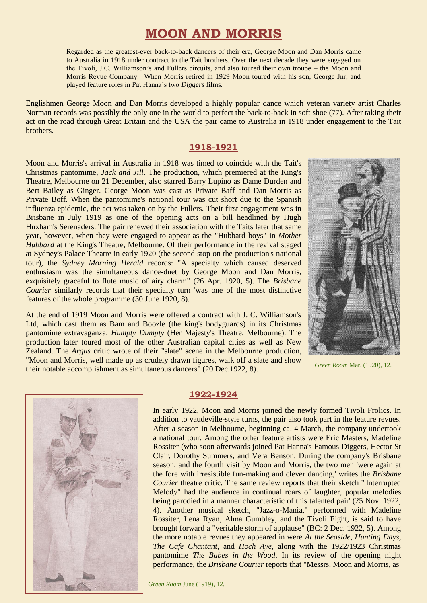# **MOON AND MORRIS**

Regarded as the greatest-ever back-to-back dancers of their era, George Moon and Dan Morris came to Australia in 1918 under contract to the Tait brothers. Over the next decade they were engaged on the Tivoli, J.C. Williamson's and Fullers circuits, and also toured their own troupe – the Moon and Morris Revue Company. When Morris retired in 1929 Moon toured with his son, George Jnr, and played feature roles in Pat Hanna's two *Diggers* films.

Englishmen George Moon and Dan Morris developed a highly popular dance which veteran variety artist Charles Norman records was possibly the only one in the world to perfect the back-to-back in soft shoe (77). After taking their act on the road through Great Britain and the USA the pair came to Australia in 1918 under engagement to the Tait brothers.

#### **1918-1921**

Moon and Morris's arrival in Australia in 1918 was timed to coincide with the Tait's Christmas pantomime, *Jack and Jill*. The production, which premiered at the King's Theatre, Melbourne on 21 December, also starred Barry Lupino as Dame Durden and Bert Bailey as Ginger. George Moon was cast as Private Baff and Dan Morris as Private Boff. When the pantomime's national tour was cut short due to the Spanish influenza epidemic, the act was taken on by the Fullers. Their first engagement was in Brisbane in July 1919 as one of the opening acts on a bill headlined by Hugh Huxham's Serenaders. The pair renewed their association with the Taits later that same year, however, when they were engaged to appear as the "Hubbard boys" in *Mother Hubbard* at the King's Theatre, Melbourne. Of their performance in the revival staged at Sydney's Palace Theatre in early 1920 (the second stop on the production's national tour), the *Sydney Morning Herald* records: "A specialty which caused deserved enthusiasm was the simultaneous dance-duet by George Moon and Dan Morris, exquisitely graceful to flute music of airy charm" (26 Apr. 1920, 5). The *Brisbane Courier* similarly records that their specialty turn 'was one of the most distinctive features of the whole programme (30 June 1920, 8).

At the end of 1919 Moon and Morris were offered a contract with J. C. Williamson's Ltd, which cast them as Bam and Boozle (the king's bodyguards) in its Christmas pantomime extravaganza, *Humpty Dumpty* (Her Majesty's Theatre, Melbourne). The production later toured most of the other Australian capital cities as well as New Zealand. The *Argus* critic wrote of their "slate" scene in the Melbourne production, "Moon and Morris, well made up as crudely drawn figures, walk off a slate and show their notable accomplishment as simultaneous dancers" (20 Dec.1922, 8). *Green Room Mar.* (1920), 12.





#### **1922-1924**

In early 1922, Moon and Morris joined the newly formed Tivoli Frolics. In addition to vaudeville-style turns, the pair also took part in the feature revues. After a season in Melbourne, beginning ca. 4 March, the company undertook a national tour. Among the other feature artists were Eric Masters, Madeline Rossiter (who soon afterwards joined Pat Hanna's Famous Diggers, Hector St Clair, Dorothy Summers, and Vera Benson. During the company's Brisbane season, and the fourth visit by Moon and Morris, the two men 'were again at the fore with irresistible fun-making and clever dancing,' writes the *Brisbane Courier* theatre critic. The same review reports that their sketch '"Interrupted Melody" had the audience in continual roars of laughter, popular melodies being parodied in a manner characteristic of this talented pair' (25 Nov. 1922, 4). Another musical sketch, "Jazz-o-Mania," performed with Madeline Rossiter, Lena Ryan, Alma Gumbley, and the Tivoli Eight, is said to have brought forward a "veritable storm of applause" (BC: 2 Dec. 1922, 5). Among the more notable revues they appeared in were *At the Seaside*, *Hunting Days, The Cafe Chantant*, and *Hoch Aye*, along with the 1922/1923 Christmas pantomime *The Babes in the Wood*. In its review of the opening night performance, the *Brisbane Courier* reports that "Messrs. Moon and Morris, as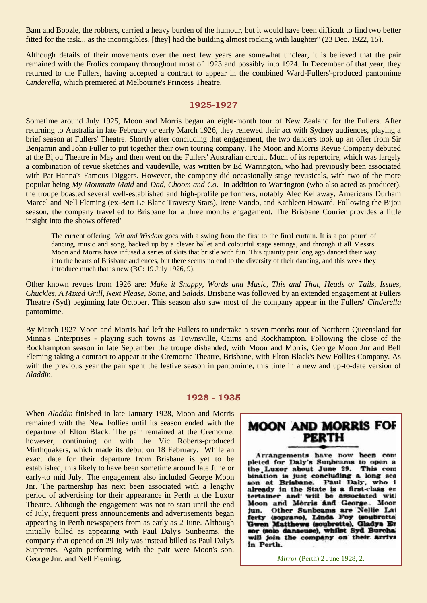Bam and Boozle, the robbers, carried a heavy burden of the humour, but it would have been difficult to find two better fitted for the task... as the incorrigibles, [they] had the building almost rocking with laughter" (23 Dec. 1922, 15).

Although details of their movements over the next few years are somewhat unclear, it is believed that the pair remained with the Frolics company throughout most of 1923 and possibly into 1924. In December of that year, they returned to the Fullers, having accepted a contract to appear in the combined Ward-Fullers'-produced pantomime *Cinderella*, which premiered at Melbourne's Princess Theatre.

## **1925-1927**

Sometime around July 1925, Moon and Morris began an eight-month tour of New Zealand for the Fullers. After returning to Australia in late February or early March 1926, they renewed their act with Sydney audiences, playing a brief season at Fullers' Theatre. Shortly after concluding that engagement, the two dancers took up an offer from Sir Benjamin and John Fuller to put together their own touring company. The Moon and Morris Revue Company debuted at the Bijou Theatre in May and then went on the Fullers' Australian circuit. Much of its repertoire, which was largely a combination of revue sketches and vaudeville, was written by Ed Warrington, who had previously been associated with Pat Hanna's Famous Diggers. However, the company did occasionally stage revusicals, with two of the more popular being *My Mountain Maid* and *Dad, Choom and Co*. In addition to Warrington (who also acted as producer), the troupe boasted several well-established and high-profile performers, notably Alec Kellaway, Americans Durham Marcel and Nell Fleming (ex-Bert Le Blanc Travesty Stars), Irene Vando, and Kathleen Howard. Following the Bijou season, the company travelled to Brisbane for a three months engagement. The Brisbane Courier provides a little insight into the shows offered"

The current offering, *Wit and Wisdom* goes with a swing from the first to the final curtain. It is a pot pourri of dancing, music and song, backed up by a clever ballet and colourful stage settings, and through it all Messrs. Moon and Morris have infused a series of skits that bristle with fun. This quainty pair long ago danced their way into the hearts of Brisbane audiences, but there seems no end to the diversity of their dancing, and this week they introduce much that is new (BC: 19 July 1926, 9).

Other known revues from 1926 are: *Make it Snappy*, *Words and Music*, *This and That*, *Heads or Tails*, *Issues*, *Chuckles*, *A Mixed Grill*, *Next Please*, *Some*, and *Salads*. Brisbane was followed by an extended engagement at Fullers Theatre (Syd) beginning late October. This season also saw most of the company appear in the Fullers' *Cinderella* pantomime.

By March 1927 Moon and Morris had left the Fullers to undertake a seven months tour of Northern Queensland for Minna's Enterprises - playing such towns as Townsville, Cairns and Rockhampton. Following the close of the Rockhampton season in late September the troupe disbanded, with Moon and Morris, George Moon Jnr and Bell Fleming taking a contract to appear at the Cremorne Theatre, Brisbane, with Elton Black's New Follies Company. As with the previous year the pair spent the festive season in pantomime, this time in a new and up-to-date version of *Aladdin*.

## **1928 - 1935**

When *Aladdin* finished in late January 1928, Moon and Morris remained with the New Follies until its season ended with the departure of Elton Black. The pair remained at the Cremorne, however, continuing on with the Vic Roberts-produced Mirthquakers, which made its debut on 18 February. While an exact date for their departure from Brisbane is yet to be established, this likely to have been sometime around late June or early-to mid July. The engagement also included George Moon Jnr. The partnership has next been associated with a lengthy period of advertising for their appearance in Perth at the Luxor Theatre. Although the engagement was not to start until the end of July, frequent press announcements and advertisements began appearing in Perth newspapers from as early as 2 June. Although initially billed as appearing with Paul Daly's Sunbeams, the company that opened on 29 July was instead billed as Paul Daly's Supremes. Again performing with the pair were Moon's son, George Jnr, and Nell Fleming. *Mirror* (Perth) 2 June 1928, 2.

# **MOON AND MORRIS FOR PERTH**

Arrangements have now heen com pleted for Daly's Sunbeams to open a the Luxer about June 29. This com bination is just concluding a long sea son at Brisbane. Paul Daly, who i already in the State is a first-class en tertainer and will be associated with Moon and Morris and George. Moon Other Sunbeams are Nellie Lat jun. ferty (soprano), Linda Foy (soubrette) Gwen Matthews (soubrette), Gladys En sor (solo danseuse), whilst Syd Burchal will join the company on their arriva in Perth.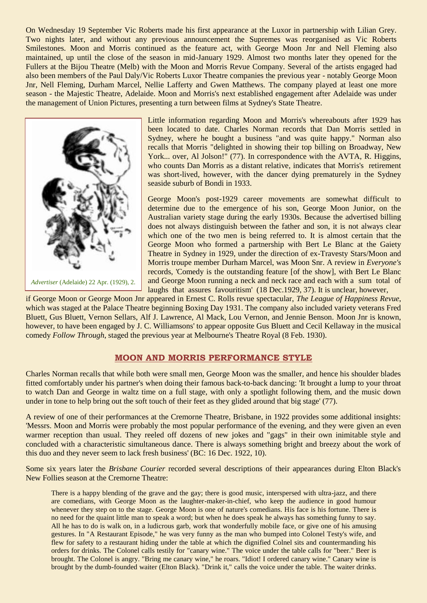On Wednesday 19 September Vic Roberts made his first appearance at the Luxor in partnership with Lilian Grey. Two nights later, and without any previous announcement the Supremes was reorganised as Vic Roberts Smilestones. Moon and Morris continued as the feature act, with George Moon Jnr and Nell Fleming also maintained, up until the close of the season in mid-January 1929. Almost two months later they opened for the Fullers at the Bijou Theatre (Melb) with the Moon and Morris Revue Company. Several of the artists engaged had also been members of the Paul Daly/Vic Roberts Luxor Theatre companies the previous year - notably George Moon Jnr, Nell Fleming, Durham Marcel, Nellie Lafferty and Gwen Matthews. The company played at least one more season - the Majestic Theatre, Adelaide. Moon and Morris's next established engagement after Adelaide was under the management of Union Pictures, presenting a turn between films at Sydney's State Theatre.



*Advertiser* (Adelaide) 22 Apr. (1929), 2.

Little information regarding Moon and Morris's whereabouts after 1929 has been located to date. Charles Norman records that Dan Morris settled in Sydney, where he bought a business "and was quite happy." Norman also recalls that Morris "delighted in showing their top billing on Broadway, New York... over, Al Jolson!" (77). In correspondence with the AVTA, R. Higgins, who counts Dan Morris as a distant relative, indicates that Morris's retirement was short-lived, however, with the dancer dying prematurely in the Sydney seaside suburb of Bondi in 1933.

George Moon's post-1929 career movements are somewhat difficult to determine due to the emergence of his son, George Moon Junior, on the Australian variety stage during the early 1930s. Because the advertised billing does not always distinguish between the father and son, it is not always clear which one of the two men is being referred to. It is almost certain that the George Moon who formed a partnership with Bert Le Blanc at the Gaiety Theatre in Sydney in 1929, under the direction of ex-Travesty Stars/Moon and Morris troupe member Durham Marcel, was Moon Snr. A review in *Everyone's* records, 'Comedy is the outstanding feature [of the show], with Bert Le Blanc and George Moon running a neck and neck race and each with a sum total of laughs that assures favouritism' (18 Dec.1929, 37). It is unclear, however,

if George Moon or George Moon Jnr appeared in Ernest C. Rolls revue spectacular, *The League of Happiness Revue*, which was staged at the Palace Theatre beginning Boxing Day 1931. The company also included variety veterans Fred Bluett, Gus Bluett, Vernon Sellars, Alf J. Lawrence, Al Mack, Lou Vernon, and Jennie Benson. Moon Jnr is known, however, to have been engaged by J. C. Williamsons' to appear opposite Gus Bluett and Cecil Kellaway in the musical comedy *Follow Through*, staged the previous year at Melbourne's Theatre Royal (8 Feb. 1930).

## **MOON AND MORRIS PERFORMANCE STYLE**

Charles Norman recalls that while both were small men, George Moon was the smaller, and hence his shoulder blades fitted comfortably under his partner's when doing their famous back-to-back dancing: 'It brought a lump to your throat to watch Dan and George in waltz time on a full stage, with only a spotlight following them, and the music down under in tone to help bring out the soft touch of their feet as they glided around that big stage' (77).

A review of one of their performances at the Cremorne Theatre, Brisbane, in 1922 provides some additional insights: 'Messrs. Moon and Morris were probably the most popular performance of the evening, and they were given an even warmer reception than usual. They reeled off dozens of new jokes and "gags" in their own inimitable style and concluded with a characteristic simultaneous dance. There is always something bright and breezy about the work of this duo and they never seem to lack fresh business' (BC: 16 Dec. 1922, 10).

Some six years later the *Brisbane Courier* recorded several descriptions of their appearances during Elton Black's New Follies season at the Cremorne Theatre:

There is a happy blending of the grave and the gay; there is good music, interspersed with ultra-jazz, and there are comedians, with George Moon as the laughter-maker-in-chief, who keep the audience in good humour whenever they step on to the stage. George Moon is one of nature's comedians. His face is his fortune. There is no need for the quaint little man to speak a word; but when he does speak he always has something funny to say. All he has to do is walk on, in a ludicrous garb, work that wonderfully mobile face, or give one of his amusing gestures. In "A Restaurant Episode," he was very funny as the man who bumped into Colonel Testy's wife, and flew for safety to a restaurant hiding under the table at which the dignified Colnel sits and countermanding his orders for drinks. The Colonel calls testily for "canary wine." The voice under the table calls for "beer." Beer is brought. The Colonel is angry. "Bring me canary wine," he roars. "Idiot! I ordered canary wine." Canary wine is brought by the dumb-founded waiter (Elton Black). "Drink it," calls the voice under the table. The waiter drinks.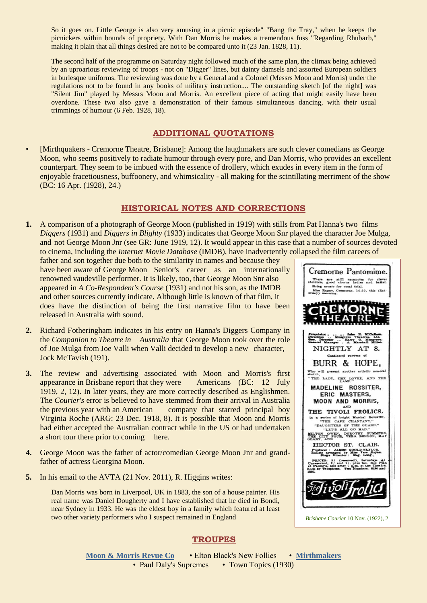So it goes on. Little George is also very amusing in a picnic episode" "Bang the Tray," when he keeps the picnickers within bounds of propriety. With Dan Morris he makes a tremendous fuss "Regarding Rhubarb," making it plain that all things desired are not to be compared unto it (23 Jan. 1828, 11).

The second half of the programme on Saturday night followed much of the same plan, the climax being achieved by an uproarious reviewing of troops - not on "Digger" lines, but dainty damsels and assorted European soldiers in burlesque uniforms. The reviewing was done by a General and a Colonel (Messrs Moon and Morris) under the regulations not to be found in any books of military instruction.... The outstanding sketch [of the night] was "Silent Jim" played by Messrs Moon and Morris. An excellent piece of acting that might easily have been overdone. These two also gave a demonstration of their famous simultaneous dancing, with their usual trimmings of humour (6 Feb. 1928, 18).

## **ADDITIONAL QUOTATIONS**

• [Mirthquakers - Cremorne Theatre, Brisbane]: Among the laughmakers are such clever comedians as George Moon, who seems positively to radiate humour through every pore, and Dan Morris, who provides an excellent counterpart. They seem to be imbued with the essence of drollery, which exudes in every item in the form of enjoyable fracetiousness, buffoonery, and whimsicality - all making for the scintillating merriment of the show (BC: 16 Apr. (1928), 24.)

## **HISTORICAL NOTES AND CORRECTIONS**

**1.** A comparison of a photograph of George Moon (published in 1919) with stills from Pat Hanna's two films *Diggers* (1931) and *Diggers in Blighty* (1933) indicates that George Moon Snr played the character Joe Mulga, and not George Moon Jnr (see GR: June 1919, 12). It would appear in this case that a number of sources devoted to cinema, including the *Internet Movie Database* (IMDB), have inadvertently collapsed the film careers of

father and son together due both to the similarity in names and because they have been aware of George Moon Senior's career as an internationally renowned vaudeville performer. It is likely, too, that George Moon Snr also appeared in *A Co-Respondent's Course* (1931) and not his son, as the IMDB and other sources currently indicate. Although little is known of that film, it does have the distinction of being the first narrative film to have been released in Australia with sound.

- **2.** Richard Fotheringham indicates in his entry on Hanna's Diggers Company in the *Companion to Theatre in Australia* that George Moon took over the role of Joe Mulga from Joe Valli when Valli decided to develop a new character, Jock McTavish (191).
- **3.** The review and advertising associated with Moon and Morris's first appearance in Brisbane report that they were Americans (BC: 12 July 1919, 2, 12). In later years, they are more correctly described as Englishmen. The *Courier's* error is believed to have stemmed from their arrival in Australia the previous year with an American company that starred principal boy Virginia Roche (ARG: 23 Dec. 1918, 8). It is possible that Moon and Morris had either accepted the Australian contract while in the US or had undertaken a short tour there prior to coming here.
- **4.** George Moon was the father of actor/comedian George Moon Jnr and grandfather of actress Georgina Moon.
- **5.** In his email to the AVTA (21 Nov. 2011), R. Higgins writes:

Dan Morris was born in Liverpool, UK in 1883, the son of a house painter. His real name was Daniel Dougherty and I have established that he died in Bondi, near Sydney in 1933. He was the eldest boy in a family which featured at least two other variety performers who I suspect remained in England

## **TROUPES**

**[Moon & Morris Revue Co](http://ozvta.com/troupes-m-r/)** • Elton Black's New Follies • **[Mirthmakers](http://ozvta.com/troupes-m-r/)** • Paul Daly's Supremes • Town Topics (1930)